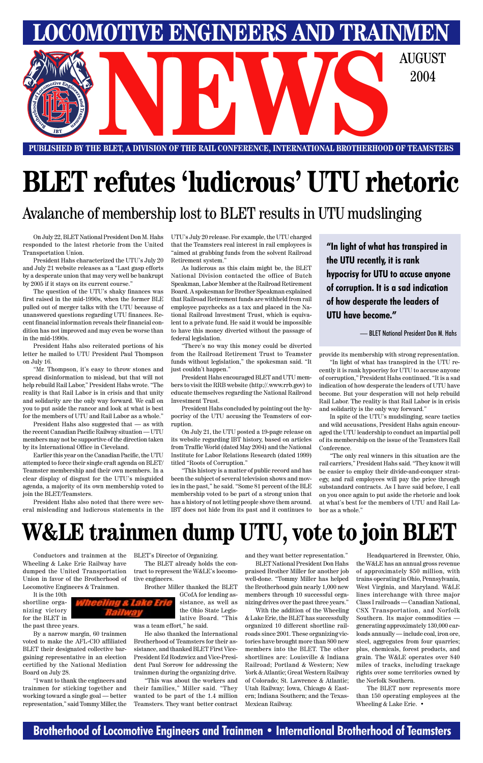### **Brotherhood of Locomotive Engineers and Trainmen • International Brotherhood of Teamsters**



**PUBLISHED BY THE BLET, A DIVISION OF THE RAIL CONFERENCE, INTERNATIONAL BROTHERHOOD OF TEAMSTERS** E BLET, A DIVISION OF THE RAIL CONFERENCE, INTERNATIONAL BROTHERHOOD OF TEAMSTER

**LOMOTIVE ENGINEERS AND TRAINMEN** 

2004



Wheeling & Lake Erie Railway have dumped the United Transportation Union in favor of the Brotherhood of Locomotive Engineers & Trainmen.

It is the 10th

shortline organizing victory for the BLET in the past three years.

By a narrow margin, 60 trainmen voted to make the AFL-CIO affiliated

Conductors and trainmen at the BLET's Director of Organizing.

BLET their designated collective bargaining representative in an election certified by the National Mediation Board on July 28.

"I want to thank the engineers and trainmen for sticking together and working toward a single goal — better representation," said Tommy Miller, the

The BLET already holds the contract to represent the W&LE's locomotive engineers.

> Brother Miller thanked the BLET GCofA for lending as-

sistance, as well as the Ohio State Legislative Board. "This

was a team effort," he said.

He also thanked the International Brotherhood of Teamsters for their assistance, and thanked BLET First Vice-President Ed Rodzwicz and Vice-President Paul Sorrow for addressing the trainmen during the organizing drive.

> The BLET now represents more than 150 operating employees at the Wheeling & Lake Erie. •

"This was about the workers and their families," Miller said. "They wanted to be part of the 1.4 million Teamsters. They want better contract and they want better representation."

BLET National President Don Hahs praised Brother Miller for another job well-done. "Tommy Miller has helped the Brotherhood gain nearly 1,000 new members through 10 successful organizing drives over the past three years."

With the addition of the Wheeling & Lake Erie, the BLET has successfully organized 10 different shortline railroads since 2001. These organizing victories have brought more than 800 new members into the BLET. The other shortlines are: Louisville & Indiana Railroad; Portland & Western; New York & Atlantic; Great Western Railway of Colorado; St. Lawrence & Atlantic; Utah Railway; Iowa, Chicago & Eastern; Indiana Southern; and the Texas-Mexican Railway.

Headquartered in Brewster, Ohio,

the W&LE has an annual gross revenue of approximately \$50 million, with trains operating in Ohio, Pennsylvania, West Virginia, and Maryland. W&LE lines interchange with three major Class I railroads — Canadian National, CSX Transportation, and Norfolk Southern. Its major commodities generating approximately 130,000 carloads annually — include coal, iron ore, steel, aggregates from four quarries; plus, chemicals, forest products, and grain. The W&LE operates over 840 miles of tracks, including trackage rights over some territories owned by the Norfolk Southern.

responded to the latest rhetoric from the United Transportation Union.

President Hahs characterized the UTU's July 20 and July 21 website releases as a "Last gasp efforts by a desperate union that may very well be bankrupt by 2005 if it stays on its current course."

The question of the UTU's shaky finances was first raised in the mid-1990s, when the former BLE pulled out of merger talks with the UTU because of unanswered questions regarding UTU finances. Recent financial information reveals their financial condition has not improved and may even be worse than in the mid-1990s.

President Hahs also reiterated portions of his letter he mailed to UTU President Paul Thompson on July 16.

On July 22, BLET National President Don M. Hahs UTU's July 20 release. For example, the UTU charged that the Teamsters real interest in rail employees is "aimed at grabbing funds from the solvent Railroad Retirement system."

"Mr. Thompson, it's easy to throw stones and spread disinformation to mislead, but that will not help rebuild Rail Labor," President Hahs wrote. "The reality is that Rail Labor is in crisis and that unity and solidarity are the only way forward. We call on you to put aside the rancor and look at what is best for the members of UTU and Rail Labor as a whole."

President Hahs also suggested that — as with the recent Canadian Pacific Railway situation — UTU members may not be supportive of the direction taken by its International Office in Cleveland.

Earlier this year on the Canadian Pacific, the UTU attempted to force their single craft agenda on BLET/ Teamster membership and their own members. In a clear display of disgust for the UTU's misguided agenda, a majority of its own membership voted to join the BLET/Teamsters.

President Hahs also noted that there were several misleading and ludicrous statements in the

As ludicrous as this claim might be, the BLET National Division contacted the office of Butch Speakman, Labor Member at the Railroad Retirement Board. A spokesman for Brother Speakman explained that Railroad Retirement funds are withheld from rail employee paychecks as a tax and placed in the National Railroad Investment Trust, which is equivalent to a private fund. He said it would be impossible to have this money diverted without the passage of federal legislation.

"There's no way this money could be diverted from the Railroad Retirement Trust to Teamster funds without legislation," the spokesman said. "It just couldn't happen."

President Hahs encouraged BLET and UTU members to visit the RRB website (http://.www.rrb.gov) to educate themselves regarding the National Railroad Investment Trust.

President Hahs concluded by pointing out the hypocrisy of the UTU accusing the Teamsters of corruption.

On July 21, the UTU posted a 19-page release on its website regarding IBT history, based on articles from Traffic World (dated May 2004) and the National Institute for Labor Relations Research (dated 1999) titled "Roots of Corruption."

"This history is a matter of public record and has been the subject of several television shows and movies in the past," he said. "Some 81 percent of the BLE membership voted to be part of a strong union that has a history of not letting people shove them around. IBT does not hide from its past and it continues to provide its membership with strong representation.

"In light of what has transpired in the UTU recently it is rank hypocrisy for UTU to accuse anyone of corruption," President Hahs continued. "It is a sad indication of how desperate the leaders of UTU have become. But your desperation will not help rebuild Rail Labor. The reality is that Rail Labor is in crisis and solidarity is the only way forward."

In spite of the UTU's mudslinging, scare tactics and wild accusations, President Hahs again encouraged the UTU leadership to conduct an impartial poll of its membership on the issue of the Teamsters Rail Conference.

"The only real winners in this situation are the rail carriers," President Hahs said. "They know it will be easier to employ their divide-and-conquer strategy, and rail employees will pay the price through substandard contracts. As I have said before, I call on you once again to put aside the rhetoric and look at what's best for the members of UTU and Rail Labor as a whole."

# **BLET refutes 'ludicrous' UTU rhetoric**

### Avalanche of membership lost to BLET results in UTU mudslinging

**"In light of what has transpired in the UTU recently, it is rank hypocrisy for UTU to accuse anyone of corruption. It is a sad indication of how desperate the leaders of UTU have become."**

— BLET National President Don M. Hahs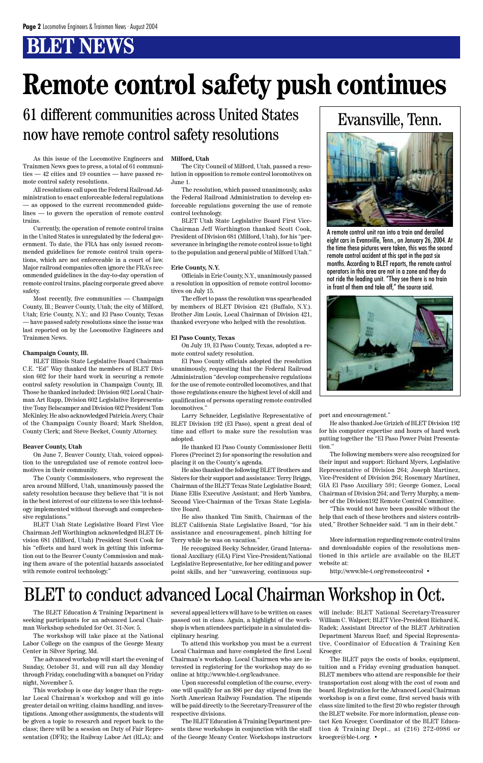As this issue of the Locomotive Engineers and Trainmen News goes to press, a total of 61 communities — 42 cities and 19 counties — have passed remote control safety resolutions.

All resolutions call upon the Federal Railroad Administration to enact enforceable federal regulations — as opposed to the current recommended guidelines — to govern the operation of remote control trains.

Currently, the operation of remote control trains in the United States is unregulated by the federal government. To date, the FRA has only issued recommended guidelines for remote control train operations, which are not enforceable in a court of law. Major railroad companies often ignore the FRA's recommended guidelines in the day-to-day operation of remote control trains, placing corporate greed above safety.

Most recently, five communities — Champaign County, Ill.; Beaver County, Utah; the city of Milford, Utah; Erie County, N.Y.; and El Paso County, Texas — have passed safety resolutions since the issue was last reported on by the Locomotive Engineers and Trainmen News.

#### **Champaign County, Ill.**

ing them aware of the potential hazards associated with remote control technology."

BLET Illinois State Legislative Board Chairman C.E. "Ed" Way thanked the members of BLET Division 602 for their hard work in securing a remote control safety resolution in Champaign County, Ill. Those he thanked included: Division 602 Local Chairman Art Rapp, Division 602 Legislative Representative Tony Belscamper and Division 602 President Tom McKinley. He also acknowledged Patricia Avery, Chair of the Champaign County Board; Mark Sheldon, County Clerk; and Steve Becket, County Attorney.

#### **Beaver County, Utah**

On June 7, Beaver County, Utah, voiced opposition to the unregulated use of remote control locomotives in their community.

The County Commissioners, who represent the area around Milford, Utah, unanimously passed the safety resolution because they believe that "it is not in the best interest of our citizens to see this technology implemented without thorough and comprehensive regulations."

BLET Utah State Legislative Board First Vice Chairman Jeff Worthington acknowledged BLET Division 681 (Milford, Utah) President Scott Cook for his "efforts and hard work in getting this information out to the Beaver County Commission and mak-

#### **Milford, Utah**

The City Council of Milford, Utah, passed a resolution in opposition to remote control locomotives on June 1.

The resolution, which passed unanimously, asks the Federal Railroad Administration to develop enforceable regulations governing the use of remote control technology.

BLET Utah State Legislative Board First Vice-Chairman Jeff Worthington thanked Scott Cook, President of Division 681 (Milford, Utah), for his "perseverance in bringing the remote control issue to light to the population and general public of Milford Utah."

#### **Erie County, N.Y.**

Officials in Erie County, N.Y., unanimously passed a resolution in opposition of remote control locomotives on July 15.

The effort to pass the resolution was spearheaded by members of BLET Division 421 (Buffalo, N.Y.). Brother Jim Louis, Local Chairman of Division 421, thanked everyone who helped with the resolution.

#### **El Paso County, Texas**

On July 19, El Paso County, Texas, adopted a remote control safety resolution.

El Paso County officials adopted the resolution unanimously, requesting that the Federal Railroad Administration "develop comprehensive regulations for the use of remote controlled locomotives, and that those regulations ensure the highest level of skill and qualification of persons operating remote controlled locomotives."

Larry Schneider, Legislative Representative of BLET Division 192 (El Paso), spent a great deal of time and effort to make sure the resolution was adopted.

He thanked El Paso County Commissioner Betti Flores (Precinct 2) for sponsoring the resolution and placing it on the County's agenda.

He also thanked the following BLET Brothers and Sisters for their support and assistance: Terry Briggs, Chairman of the BLET Texas State Legislative Board; Diane Ellis Executive Assistant; and Herb Yambra, Second Vice-Chairman of the Texas State Legislative Board.

He also thanked Tim Smith, Chairman of the BLET California State Legislative Board, "for his assistance and encouragement, pinch hitting for Terry while he was on vacation."

He recognized Becky Schneider, Grand International Auxiliary (GIA) First Vice-President/National

Legislative Representative, for her editing and power point skills, and her "unwavering, continuous sup-

### Evansville, Tenn.



A remote control unit ran into a train and derailed eight cars in Evansville, Tenn., on January 26, 2004. At the time these pictures were taken, this was the second remote control accident at this spot in the past six months. According to BLET reports, the remote control operators in this area are not in a zone and they do not ride the leading unit. "They see there is no train in front of them and take off," the source said.



port and encouragement."

He also thanked Joe Grizich of BLET Division 192 for his computer expertise and hours of hard work putting together the "El Paso Power Point Presentation."

The following members were also recognized for their input and support: Richard Myers, Legislative Representative of Division 264; Joseph Martinez, Vice-President of Division 264; Rosemary Martinez, GIA El Paso Auxiliary 591; George Gomez, Local Chairman of Division 264; and Terry Murphy, a member of the Division192 Remote Control Committee.

"This would not have been possible without the help that each of these brothers and sisters contributed," Brother Schneider said. "I am in their debt."

More information regarding remote control trains and downloadable copies of the resolutions mentioned in this article are available on the BLET

website at: http://www.ble-t.org/remotecontrol •

# **Remote control safety push continues**

### 61 different communities across United States now have remote control safety resolutions

The BLET Education & Training Department is seeking participants for an advanced Local Chairman Workshop scheduled for Oct. 31-Nov. 5.

The workshop will take place at the National Labor College on the campus of the George Meany Center in Silver Spring, Md.

The advanced workshop will start the evening of Sunday, October 31, and will run all day Monday through Friday, concluding with a banquet on Friday night, November 5.

This workshop is one day longer than the regular Local Chairman's workshop and will go into greater detail on writing, claims handling, and investigations. Among other assignments, the students will be given a topic to research and report back to the class; there will be a session on Duty of Fair Representation (DFR); the Railway Labor Act (RLA); and several appeal letters will have to be written on cases passed out in class. Again, a highlight of the workshop is when attendees participate in a simulated disciplinary hearing.

To attend this workshop you must be a current Local Chairman and have completed the first Local Chairman's workshop. Local Chairmen who are interested in registering for the workshop may do so online at http://www.ble-t.org/lcadvance.

Upon successful completion of the course, everyone will qualify for an \$86 per day stipend from the North American Railway Foundation. The stipends will be paid directly to the Secretary-Treasurer of the respective divisions.

The BLET Education & Training Department presents these workshops in conjunction with the staff of the George Meany Center. Workshops instructors will include: BLET National Secretary-Treasurer William C. Walpert; BLET Vice-President Richard K. Radek; Assistant Director of the BLET Arbitration Department Marcus Ruef; and Special Representative, Coordinator of Education & Training Ken Kroeger.

The BLET pays the costs of books, equipment, tuition and a Friday evening graduation banquet. BLET members who attend are responsible for their transportation cost along with the cost of room and board. Registration for the Advanced Local Chairman workshop is on a first come, first served basis with class size limited to the first 20 who register through the BLET website. For more information, please contact Ken Kroeger, Coordinator of the BLET Education & Training Dept., at (216) 272-0986 or kroeger@ble-t.org. •

## BLET to conduct advanced Local Chairman Workshop in Oct.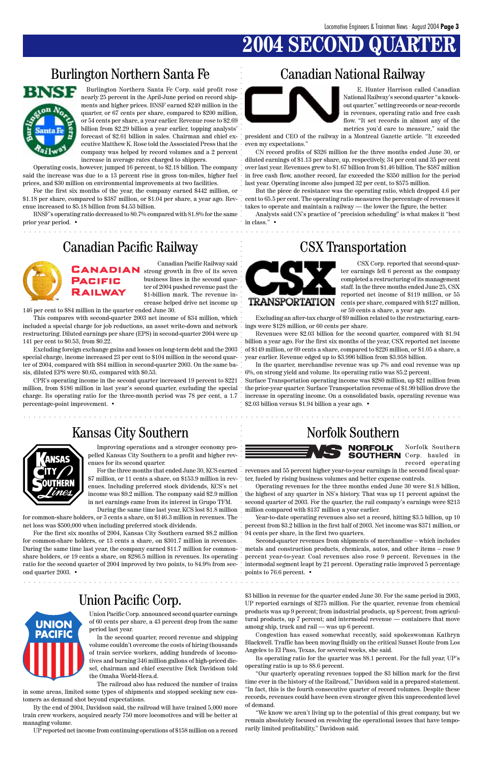# **2004 SECOND QUA**

### Burlington Northern Santa Fe Canadian National Railway



### Union Pacific Corp.

aaaaaaaaaaaaaaaaaaaaaaaaaaaaaaaaaaaaaaaaaaaaaaaaaaaaaaaaaaaaaaaaaaaaaaaaaaaaaaaaaaaaaaa

aaaaaaaaaaaaaaaaaaaaaaaaaaaaaaaaaaaaaaaaaaaaaaaaaaaaaaaaaaaaaaaaaaaaaaaaaaaaaaaaaaaaaaa

aaaaaaaaaaaaaaaaaaaaaaaaaaaaaaaaaaaaaaaaaaaaaaaaaaaaaaaaaaaaaaaaaa aaaaaaaaaaaaaaaaaaaaa aaaaaaaaaaaaaaaaaaaaaaaaaaaaaaa aaaaaaaaaaaaaaaaaaaaa aaaaaaaaa aaaaaaaaaaaaaaaa aaaaaaaaaaaaaaaaaa Burlington Northern Santa Fe Corp. said profit rose nearly 25 percent in the April-June period on record shipments and higher prices. BNSF earned \$249 million in the quarter, or 67 cents per share, compared to \$200 million, or 54 cents per share, a year earlier. Revenue rose to \$2.69 billion from \$2.29 billion a year earlier, topping analysts'. forecast of \$2.61 billion in sales. Chairman and chief executive Matthew K. Rose told the Associated Press that the company was helped by record volumes and a 2 percent increase in average rates charged to shippers.

Operating costs, however, jumped 16 percent, to \$2.18 billion. The company said the increase was due to a 13 percent rise in gross ton-miles, higher fuel prices, and \$30 million on environmental improvements at two facilities.

For the first six months of the year, the company earned \$442 million, or \$1.18 per share, compared to \$387 million, or \$1.04 per share, a year ago. Rev-cent to 65.5 per cent. The operating ratio measures the percentage of revenues it enue increased to \$5.18 billion from \$4.53 billion.

BNSF's operating ratio decreased to 80.7% compared with 81.8% for the same prior year period. •



E. Hunter Harrison called Canadian National Railway's second quarter "a knockout quarter," setting records or near-records in revenues, operating ratio and free cash flow. "It set records in almost any of the metrics you'd care to measure," said the

president and CEO of the railway in a Montreal Gazette article. "It exceeded even my expectations."

CN record profits of \$326 million for the three months ended June 30, or diluted earnings of \$1.13 per share, up, respectively, 34 per cent and 35 per cent over last year. Revenues grew to \$1.67 billion from \$1.46 billion. The \$587 million in free cash flow, another record, far exceeded the \$350 million for the period last year. Operating income also jumped 32 per cent, to \$575 million.

But the piece de resistance was the operating ratio, which dropped 4.6 per takes to operate and maintain a railway — the lower the figure, the better.

Analysts said CN's practice of "precision scheduling" is what makes it "best in class." •

### Canadian Pacific Railway CSX Transportation



Canadian Pacific Railway said **CANADIAN** strong growth in five of its seven business lines in the second quarter of 2004 pushed revenue past the \$1-billion mark. The revenue increase helped drive net income up

146 per cent to \$84 million in the quarter ended June 30.

This compares with second-quarter 2003 net income of \$34 million, which included a special charge for job reductions, an asset write-down and network ings were \$128 million, or 60 cents per share. restructuring. Diluted earnings per share (EPS) in second-quarter 2004 were up 141 per cent to \$0.53, from \$0.22.

Excluding foreign exchange gains and losses on long-term debt and the 2003 special charge, income increased 23 per cent to \$104 million in the second quarter of 2004, compared with \$84 million in second-quarter 2003. On the same basis, diluted EPS were \$0.65, compared with \$0.53.

CPR's operating income in the second quarter increased 19 percent to \$221 million, from \$186 million in last year's second quarter, excluding the special charge. Its operating ratio for the three-month period was 78 per cent, a 1.7 percentage-point improvement. •



CSX Corp. reported that second-quarter earnings fell 6 percent as the company completed a restructuring of its management staff. In the three months ended June 25, CSX reported net income of \$119 million, or 55 cents per share, compared with \$127 million, or 59 cents a share, a year ago.

Excluding an after-tax charge of \$9 million related to the restructuring, earn-

Revenues were \$2.03 billion for the second quarter, compared with \$1.94 billion a year ago. For the first six months of the year, CSX reported net income of \$149 million, or 69 cents a share, compared to \$226 million, or \$1.05 a share, a year earlier. Revenue edged up to \$3.996 billion from \$3.958 billion.

For the first six months of 2004, Kansas City Southern earned \$8.2 million for common-share holders, or 13 cents a share, on \$301.7 million in revenues. During the same time last year, the company earned \$11.7 million for commonshare holders, or 19 cents a share, on \$286.5 million in revenues. Its operating



In the quarter, merchandise revenue was up 7% and coal revenue was up 6%, on strong yield and volume. Its operating ratio was 85.2 percent.

Surface Transportation operating income was \$280 million, up \$21 million from the prior-year quarter. Surface Transportation revenue of \$1.99 billion drove the increase in operating income. On a consolidated basis, operating revenue was \$2.03 billion versus \$1.94 billion a year ago. •

### Kansas City Southern Norfolk Southern



**UNION** 

Norfolk Southern **SOUTHERN** Corp. hauled in record operating

revenues and 55 percent higher year-to-year earnings in the second fiscal quarter, fueled by rising business volumes and better expense controls.

Operating revenues for the three months ended June 30 were \$1.8 billion, the highest of any quarter in NS's history. That was up 11 percent against the second quarter of 2003. For the quarter, the rail company's earnings were \$213 million compared with \$137 million a year earlier.

Year-to-date operating revenues also set a record, hitting \$3.5 billion, up 10 percent from \$3.2 billion in the first half of 2003. Net income was \$371 million, or 94 cents per share, in the first two quarters.

Second-quarter revenues from shipments of merchandise – which includes metals and construction products, chemicals, autos, and other items – rose 9 percent year-to-year. Coal revenues also rose 9 percent. Revenues in the ratio for the second quarter of 2004 improved by two points, to 84.9% from sec- intermodal segment leapt by 21 percent. Operating ratio improved 5 percentage points to 76.6 percent. •

> Union Pacific Corp. announced second quarter earnings of 60 cents per share, a 43 percent drop from the same period last year.

> In the second quarter, record revenue and shipping volume couldn't overcome the costs of hiring thousands of train service workers, adding hundreds of locomotives and burning 346 million gallons of high-priced diesel, chairman and chief executive Dick Davidson told the Omaha World-Hera.d.

The railroad also has reduced the number of trains in some areas, limited some types of shipments and stopped seeking new customers as demand shot beyond expectations.

By the end of 2004, Davidson said, the railroad will have trained 5,000 more train crew workers, acquired nearly 750 more locomotives and will be better at managing volume.

UP reported net income from continuing operations of \$158 million on a record

\$3 billion in revenue for the quarter ended June 30. For the same period in 2003, UP reported earnings of \$275 million. For the quarter, revenue from chemical products was up 9 percent; from industrial products, up 8 percent; from agricultural products, up 7 percent; and intermodal revenue — containers that move among ship, truck and rail — was up 6 percent.

Congestion has eased somewhat recently, said spokeswoman Kathryn Blackwell. Traffic has been moving fluidly on the critical Sunset Route from Los Angeles to El Paso, Texas, for several weeks, she said.

Its operating ratio for the quarter was 88.1 percent. For the full year, UP's operating ratio is up to 88.6 percent.

"Our quarterly operating revenues topped the \$3 billion mark for the first time ever in the history of the Railroad," Davidson said in a prepared statement. "In fact, this is the fourth consecutive quarter of record volumes. Despite these records, revenues could have been even stronger given this unprecedented level of demand.

"We know we aren't living up to the potential of this great company, but we remain absolutely focused on resolving the operational issues that have temporarily limited profitability," Davidson said.

Improving operations and a stronger economy propelled Kansas City Southern to a profit and higher revenues for its second quarter.

For the three months that ended June 30, KCS earned \$7 million, or 11 cents a share, on \$153.9 million in revenues. Including preferred stock dividends, KCS's net income was \$9.2 million. The company said \$2.9 million in net earnings came from its interest in Grupo TFM.

During the same time last year, KCS lost \$1.8 million

for common-share holders, or 3 cents a share, on \$146.3 million in revenues. The net loss was \$500,000 when including preferred stock dividends.

ond quarter 2003. •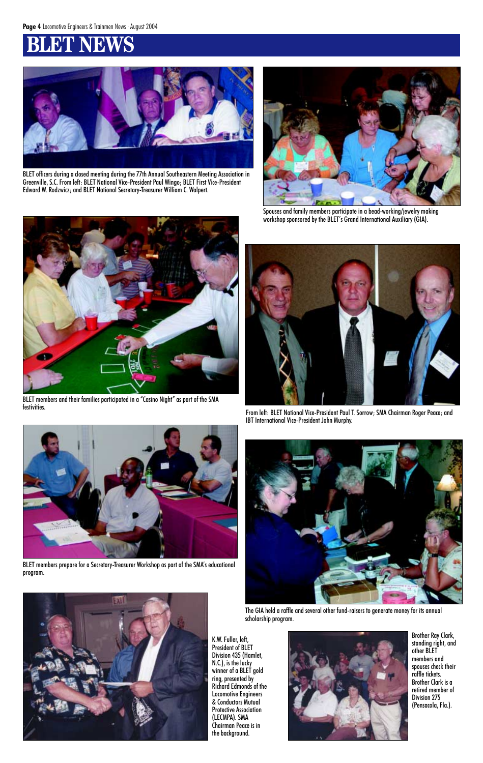

BLET officers during a closed meeting during the 77th Annual Southeastern Meeting Association in Greenville, S.C. From left: BLET National Vice-President Paul Wingo; BLET First Vice-President Edward W. Rodzwicz; and BLET National Secretary-Treasurer William C. Walpert.



Spouses and family members participate in a bead-working/jewelry making workshop sponsored by the BLET's Grand International Auxiliary (GIA).



From left: BLET National Vice-President Paul T. Sorrow; SMA Chairman Roger Peace; and IBT International Vice-President John Murphy.







BLET members and their families participated in a "Casino Night" as part of the SMA festivities.

The GIA held a raffle and several other fund-raisers to generate money for its annual scholarship program.



BLET members prepare for a Secretary-Treasurer Workshop as part of the SMA's educational program.



K.W. Fuller, left, President of BLET Division 435 (Hamlet, N.C.), is the lucky winner of a BLET gold ring, presented by Richard Edmonds of the Locomotive Engineers & Conductors Mutual Protective Association (LECMPA). SMA Chairman Peace is in the background.

Brother Ray Clark, standing right, and other BLET members and spouses check their raffle tickets. Brother Clark is a retired member of Division 275 (Pensacola, Fla.).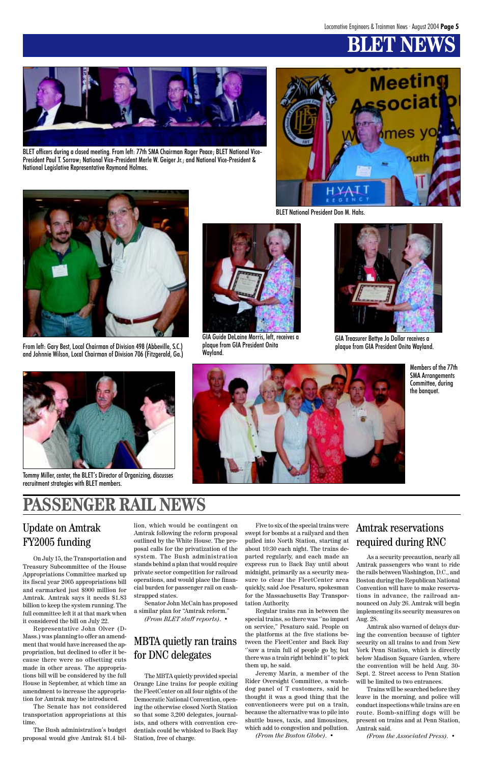

BLET officers during a closed meeting. From left: 77th SMA Chairman Roger Peace; BLET National Vice-President Paul T. Sorrow; National Vice-President Merle W. Geiger Jr.; and National Vice-President & National Legislative Representative Raymond Holmes.



From left: Gary Best, Local Chairman of Division 498 (Abbeville, S.C.) and Johnnie Wilson, Local Chairman of Division 706 (Fitzgerald, Ga.)



BLET National President Don M. Hahs.



GIA Guide DeLaine Morris, left, receives a plaque from GIA President Onita Wayland.



GIA Treasurer Bettye Jo Dollar receives a

### Update on Amtrak FY2005 funding

On July 15, the Transportation and Treasury Subcommittee of the House Appropriations Committee marked up its fiscal year 2005 appropriations bill and earmarked just \$900 million for Amtrak. Amtrak says it needs \$1.83 billion to keep the system running. The full committee left it at that mark when it considered the bill on July 22. Representative John Olver (D-Mass.) was planning to offer an amendment that would have increased the appropriation, but declined to offer it because there were no offsetting cuts made in other areas. The appropriations bill will be considered by the full House in September, at which time an amendment to increase the appropriation for Amtrak may be introduced. The Senate has not considered transportation appropriations at this time.

The Bush administration's budget proposal would give Amtrak \$1.4 bil-

The MBTA quietly provided special Orange Line trains for people exiting the FleetCenter on all four nights of the Democratic National Convention, opening the otherwise closed North Station so that some 3,200 delegates, journalists, and others with convention credentials could be whisked to Back Bay Station, free of charge.

### MBTA quietly ran trains for DNC delegates

lion, which would be contingent on Amtrak following the reform proposal outlined by the White House. The proposal calls for the privatization of the system. The Bush administration stands behind a plan that would require private sector competition for railroad operations, and would place the financial burden for passenger rail on cashstrapped states.

Senator John McCain has proposed a similar plan for "Amtrak reform." *(From BLET staff reports)*. •

Five to six of the special trains were swept for bombs at a railyard and then pulled into North Station, starting at about 10:30 each night. The trains departed regularly, and each made an express run to Back Bay until about midnight, primarily as a security measure to clear the FleetCenter area quickly, said Joe Pesaturo, spokesman for the Massachusetts Bay Transportation Authority. Regular trains ran in between the special trains, so there was ''no impact on service," Pesaturo said. People on the platforms at the five stations between the FleetCenter and Back Bay ''saw a train full of people go by, but there was a train right behind it" to pick them up, he said. Jeremy Marin, a member of the Rider Oversight Committee, a watchdog panel of T customers, said he thought it was a good thing that the conventioneers were put on a train, because the alternative was to pile into shuttle buses, taxis, and limousines, which add to congestion and pollution. *(From the Boston Globe)*. •

### Amtrak reservations required during RNC

As a security precaution, nearly all

Amtrak passengers who want to ride the rails between Washington, D.C., and Boston during the Republican National Convention will have to make reservations in advance, the railroad announced on July 26. Amtrak will begin implementing its security measures on Aug. 28.

Amtrak also warned of delays during the convention because of tighter security on all trains to and from New York Penn Station, which is directly below Madison Square Garden, where the convention will be held Aug. 30- Sept. 2. Street access to Penn Station will be limited to two entrances.

Trains will be searched before they leave in the morning, and police will conduct inspections while trains are en route. Bomb-sniffing dogs will be present on trains and at Penn Station, Amtrak said.

*(From the Associated Press)*. •



Tommy Miller, center, the BLET's Director of Organizing, discusses recruitment strategies with BLET members.



Members of the 77th SMA Arrangements Committee, during the banquet.

## PASSENGER R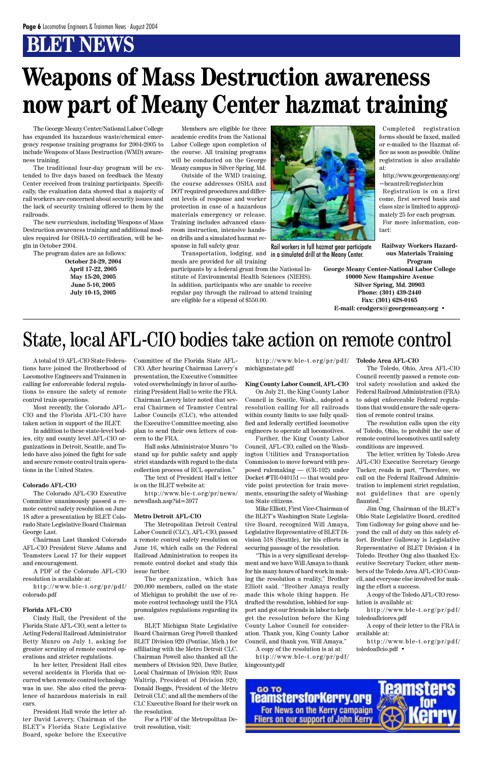The George Meany Center/National Labor College has expanded its hazardous waste/chemical emergency response training programs for 2004-2005 to include Weapons of Mass Destruction (WMD) awareness training.

The traditional four-day program will be extended to five days based on feedback the Meany Center received from training participants. Specifically, the evaluation data showed that a majority of rail workers are concerned about security issues and the lack of security training offered to them by the railroads.

The new curriculum, including Weapons of Mass Destruction awareness training and additional modules required for OSHA-10 certification, will be begin in October 2004.

The program dates are as follows:

**October 24-29, 2004 April 17-22, 2005 May 15-20, 2005 June 5-10, 2005 July 10-15, 2005**

Members are eligible for three academic credits from the National Labor College upon completion of the course. All training programs will be conducted on the George Meany campus in Silver Spring, Md.

Outside of the WMD training, the course addresses OSHA and DOT required procedures and different levels of response and worker protection in case of a hazardous materials emergency or release. Training includes advanced classroom instruction, intensive handson drills and a simulated hazmat response in full safety gear.

Transportation, lodging, and meals are provided for all training

participants by a federal grant from the National Institute of Environmental Health Sciences (NIEHS). In addition, participants who are unable to receive regular pay through the railroad to attend training are eligible for a stipend of \$550.00.

# **Weapons of Mass Destruction awareness now part of Meany Center hazmat training**

Completed registration forms should be faxed, mailed or e-mailed to the Hazmat office as soon as possible. Online registration is also available at:

http://www.georgemeany.org/ ~bcantrell/register.htm

Registration is on a first come, first served basis and class size is limited to approximately 25 for each program. For more information, contact:

**Railway Workers Hazardous Materials Training Program**

**George Meany Center-National Labor College 10000 New Hampshire Avenue Silver Spring, Md. 20903 Phone: (301) 439-2440 Fax: (301) 628-0165 E-mail: crodgers@georgemeany.org •**



Rail workers in full hazmat gear participate in a simulated drill at the Meany Center.

A total of 19 AFL-CIO State Federations have joined the Brotherhood of Locomotive Engineers and Trainmen in calling for enforceable federal regulations to ensure the safety of remote control train operations.

Most recently, the Colorado AFL-CIO and the Florida AFL-CIO have taken action in support of the BLET.

In addition to these state-level bodies, city and county level AFL-CIO organizations in Detroit, Seattle, and Toledo have also joined the fight for safe and secure remote control train operations in the United States.

#### **Colorado AFL-CIO**

The Colorado AFL-CIO Executive Committee unanimously passed a remote control safety resolution on June 18 after a presentation by BLET Colorado State Legislative Board Chairman George Last.

Chairman Last thanked Colorado AFL-CIO President Steve Adams and Teamsters Local 17 for their support

and encouragement.

A PDF of the Colorado AFL-CIO resolution is available at:

http://www.ble-t.org/pr/pdf/ colorado.pdf

#### **Florida AFL-CIO**

Cindy Hall, the President of the Florida State AFL-CIO, sent a letter to Acting Federal Railroad Administrator Betty Munro on July 1, asking for greater scrutiny of remote control operations and stricter regulations.

In her letter, President Hall cites several accidents in Florida that occurred when remote control technology was in use. She also cited the prevalence of hazardous materials in rail cars.

President Hall wrote the letter after David Lavery, Chairman of the BLET's Florida State Legislative Board, spoke before the Executive

Committee of the Florida State AFL-CIO. After hearing Chairman Lavery's presentation, the Executive Committee voted overwhelmingly in favor of authorizing President Hall to write the FRA. Chairman Lavery later noted that several Chairmen of Teamster Central Labor Councils (CLC), who attended the Executive Committee meeting, also plan to send their own letters of concern to the FRA.

Hall asks Administrator Munro "to stand up for public safety and apply strict standards with regard to the data collection process of RCL operation."

The text of President Hall's letter is on the BLET website at:

http://www.ble-t.org/pr/news/ newsflash.asp?id=3977

#### **Metro Detroit AFL-CIO**

The Metropolitan Detroit Central Labor Council (CLC), AFL-CIO, passed a remote control safety resolution on June 16, which calls on the Federal Railroad Administration to reopen its

remote control docket and study this issue further.

The organization, which has 200,000 members, called on the state of Michigan to prohibit the use of remote control technology until the FRA promulgates regulations regarding its use.

BLET Michigan State Legislative Board Chairman Greg Powell thanked BLET Division 920 (Pontiac, Mich.) for affiliating with the Metro Detroit CLC. Chairman Powell also thanked all the members of Division 920, Dave Butler, Local Chairman of Division 920; Russ Waltrip, President of Division 920; Donald Boggs, President of the Metro Detroit CLC; and all the members of the CLC Executive Board for their work on the resolution.

For a PDF of the Metropolitan Detroit resolution, visit:

http://www.ble-t.org/pr/pdf/ **Toledo Area AFL-CIO** michiganstate.pdf

#### **King County Labor Council, AFL-CIO**

On July 21, the King County Labor Council in Seattle, Wash., adopted a resolution calling for all railroads within county limits to use fully qualified and federally certified locomotive engineers to operate all locomotives.

Further, the King County Labor Council, AFL-CIO, called on the Washington Utilities and Transportation Commission to move forward with proposed rulemaking — (CR-102) under Docket #TR-040151 — that would provide point protection for train movements, ensuring the safety of Washington State citizens.

Mike Elliott, First Vice-Chairman of the BLET's Washington State Legislative Board, recognized Will Amaya, Legislative Representative of BLET Division 518 (Seattle), for his efforts in securing passage of the resolution.

"This is a very significant develop-

ment and we have Will Amaya to thank for his many hours of hard work in making the resolution a reality," Brother Elliott said. "Brother Amaya really made this whole thing happen. He drafted the resolution, lobbied for support and got our friends in labor to help get the resolution before the King County Labor Council for consideration. Thank you, King County Labor Council, and thank you, Will Amaya."

A copy of the resolution is at at: http://www.ble-t.org/pr/pdf/ kingcounty.pdf

The Toledo, Ohio, Area AFL-CIO Council recently passed a remote control safety resolution and asked the Federal Railroad Administration (FRA) to adopt enforceable Federal regulations that would ensure the safe operation of remote control trains.

The resolution calls upon the city of Toledo, Ohio, to prohibit the use of remote control locomotives until safety conditions are improved.

The letter, written by Toledo Area AFL-CIO Executive Secretary George Tucker, reads in part, "Therefore, we call on the Federal Railroad Administration to implement strict regulation, not guidelines that are openly flaunted."

Jim Ong, Chairman of the BLET's Ohio State Legislative Board, credited Tom Galloway for going above and beyond the call of duty on this safety effort. Brother Galloway is Legislative Representative of BLET Division 4 in Toledo. Brother Ong also thanked Executive Secretary Tucker, other members of the Toledo Area AFL-CIO Council, and everyone else involved for making the effort a success.

A copy of the Toledo AFL-CIO resolution is available at:

http://www.ble-t.org/pr/pdf/ toledoaflciores.pdf

A copy of their letter to the FRA is available at:

http://www.ble-t.org/pr/pdf/ toledoaflcio.pdf •



# State, local AFL-CIO bodies take action on remote control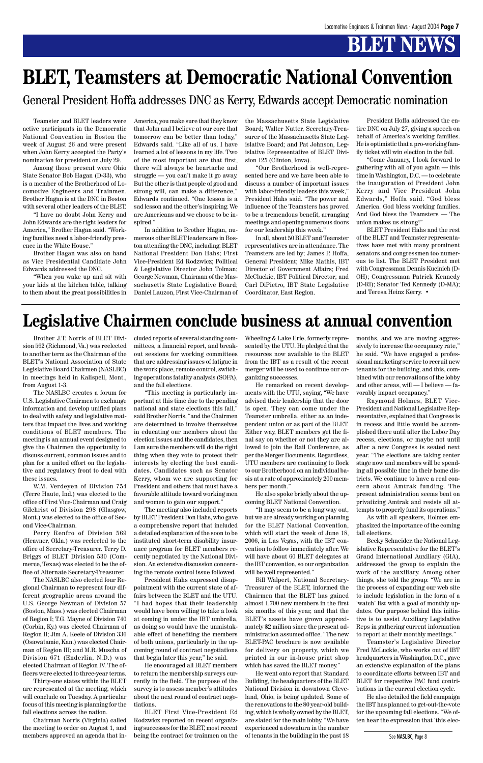Teamster and BLET leaders were active participants in the Democratic National Convention in Boston the week of August 26 and were present when John Kerry accepted the Party's nomination for president on July 29.

Among those present were Ohio State Senator Bob Hagan (D-33), who is a member of the Brotherhood of Locomotive Engineers and Trainmen. Brother Hagan is at the DNC in Boston with several other leaders of the BLET.

"I have no doubt John Kerry and John Edwards are the right leaders for America," Brother Hagan said. "Working families need a labor-friendly presence in the White House."

Brother Hagan was also on hand as Vice Presidential Candidate John Edwards addressed the DNC.

"When you wake up and sit with your kids at the kitchen table, talking to them about the great possibilities in America, you make sure that they know that John and I believe at our core that tomorrow can be better than today," Edwards said. "Like all of us, I have learned a lot of lessons in my life. Two of the most important are that first, there will always be heartache and struggle — you can't make it go away. But the other is that people of good and strong will, can make a difference," Edwards continued. "One lesson is a sad lesson and the other's inspiring. We are Americans and we choose to be inspired."

In addition to Brother Hagan, numerous other BLET leaders are in Boston attending the DNC, including: BLET National President Don Hahs; First Vice-President Ed Rodzwicz; Political & Legislative Director John Tolman; George Newman, Chairman of the Massachusetts State Legislative Board; Daniel Lauzon, First Vice-Chairman of the Massachusetts State Legislative Board; Walter Nutter, Secretary-Treasurer of the Massachusetts State Legislative Board; and Pat Johnson, Legislative Representative of BLET Division 125 (Clinton, Iowa).

"Our Brotherhood is well-represented here and we have been able to discuss a number of important issues with labor-friendly leaders this week," President Hahs said. "The power and influence of the Teamsters has proved to be a tremendous benefit, arranging meetings and opening numerous doors for our leadership this week."

In all, about 50 BLET and Teamster representatives are in attendance. The Teamsters are led by; James P. Hoffa, General President; Mike Mathis, IBT Director of Government Affairs; Fred McCluckie, IBT Political Director; and Carl DiPietro, IBT State Legislative Coordinator, East Region.

President Hoffa addressed the entire DNC on July 27, giving a speech on behalf of America's working families. He is optimistic that a pro-working family ticket will win election in the fall.

"Come January, I look forward to gathering with all of you again — this time in Washington, D.C. — to celebrate the inauguration of President John Kerry and Vice President John Edwards," Hoffa said. "God bless America. God bless working families. And God bless the Teamsters — The union makes us strong!"

BLET President Hahs and the rest of the BLET and Teamster representatives have met with many prominent senators and congressmen too numerous to list. The BLET President met with Congressman Dennis Kucinich (D-OH); Congressman Patrick Kennedy (D-RI); Senator Ted Kennedy (D-MA); and Teresa Heinz Kerry. •

# **BLET, Teamsters at Democratic National Convention**

General President Hoffa addresses DNC as Kerry, Edwards accept Democratic nomination

Brother J.T. Norris of BLET Division 562 (Richmond, Va.) was reelected to another term as the Chairman of the BLET's National Association of State Legislative Board Chairmen (NASLBC) in meetings held in Kalispell, Mont., from August 1-3.

The NASLBC creates a forum for U.S. Legislative Chairmen to exchange information and develop unified plans to deal with safety and legislative matters that impact the lives and working conditions of BLET members. The meeting is an annual event designed to give the Chairmen the opportunity to discuss current, common issues and to plan for a united effort on the legislative and regulatory front to deal with these issues.

W.M. Verdeyen of Division 754 (Terre Haute, Ind.) was elected to the office of First Vice-Chairman and Craig Gilchrist of Division 298 (Glasgow, Mont.) was elected to the office of Second Vice-Chairman.

Perry Renfro of Division 569 (Heavner, Okla.) was reelected to the office of Secretary-Treasurer. Terry D. Briggs of BLET Division 530 (Com-

merce, Texas) was elected to be the office of Alternate Secretary-Treasurer.

The NASLBC also elected four Regional Chairman to represent four different geographic areas around the U.S. George Newman of Division 57 (Boston, Mass.) was elected Chairman of Region I; T.G. Mayne of Division 740 (Corbin, Ky.) was elected Chairman of Region II; Jim A. Keele of Division 336 (Osawatamie, Kan.) was elected Chairman of Region III; and M.R. Muscha of Division 671 (Enderlin, N.D.) was elected Chairman of Region IV. The officers were elected to three-year terms.

Thirty-one states within the BLET are represented at the meeting, which will conclude on Tuesday. A particular focus of this meeting is planning for the fall elections across the nation.

Chairman Norris (Virginia) called the meeting to order on August 1, and members approved an agenda that included reports of several standing committees, a financial report, and breakout sessions for working committees that are addressing issues of fatigue in the work place, remote control, switching operations fatality analysis (SOFA), and the fall elections.

"This meeting is particularly important at this time due to the pending national and state elections this fall," said Brother Norris, "and the Chairmen are determined to involve themselves in educating our members about the election issues and the candidates, then I am sure the members will do the right thing when they vote to protect their interests by electing the best candidates. Candidates such as Senator Kerry, whom we are supporting for President and others that must have a favorable attitude toward working men and women to gain our support."

The meeting also included reports by BLET President Don Hahs, who gave a comprehensive report that included a detailed explanation of the soon to be instituted short-term disability insurance program for BLET members recently negotiated by the National Divi-

sion. An extensive discussion concerning the remote control issue followed.

President Hahs expressed disappointment with the current state of affairs between the BLET and the UTU. "I had hopes that their leadership would have been willing to take a look at coming in under the IBT umbrella, as doing so would have the unmistakable effect of benefiting the members of both unions, particularly in the upcoming round of contract negotiations that begin later this year," he said.

He encouraged all BLET members to return the membership surveys currently in the field. The purpose of the survey is to assess member's attitudes about the next round of contract negotiations.

BLET First Vice-President Ed Rodzwicz reported on recent organizing successes for the BLET, most recent being the contract for trainmen on the Wheeling & Lake Erie, formerly represented by the UTU. He pledged that the resources now available to the BLET from the IBT as a result of the recent merger will be used to continue our organizing successes.

He remarked on recent developments with the UTU, saying, "We have advised their leadership that the door is open. They can come under the Teamster umbrella, either as an independent union or as part of the BLET. Either way, BLET members get the final say on whether or not they are allowed to join the Rail Conference, as per the Merger Documents. Regardless, UTU members are continuing to flock to our Brotherhood on an individual basis at a rate of approximately 200 members per month."

He also spoke briefly about the upcoming BLET National Convention.

"It may seem to be a long way out, but we are already working on planning for the BLET National Convention, which will start the week of June 18, 2006, in Las Vegas, with the IBT convention to follow immediately after. We will have about 60 BLET delegates at

the IBT convention, so our organization will be well represented."

Bill Walpert, National Secretary-Treasurer of the BLET, informed the Chairmen that the BLET has gained almost 1,700 new members in the first six months of this year, and that the BLET's assets have grown approximately \$2 million since the present administration assumed office. "The new BLET-PAC brochure is now available for delivery on property, which we printed in our in-house print shop which has saved the BLET money."

He went onto report that Standard Building, the headquarters of the BLET National Division in downtown Cleveland, Ohio, is being updated. Some of the renovations to the 80 year-old building, which is wholly owned by the BLET, are slated for the main lobby. "We have experienced a downturn in the number of tenants in the building in the past 18 months, and we are moving aggressively to increase the occupancy rate," he said. "We have engaged a professional marketing service to recruit new tenants for the building, and this, combined with our renovations of the lobby and other areas, will — I believe — favorably impact occupancy."

Raymond Holmes, BLET Vice-President and National Legislative Representative, explained that Congress is in recess and little would be accomplished there until after the Labor Day recess, elections, or maybe not until after a new Congress is seated next year. "The elections are taking center stage now and members will be spending all possible time in their home districts. We continue to have a real concern about Amtrak funding. The present administration seems bent on privatizing Amtrak and resists all attempts to properly fund its operations."

As with all speakers, Holmes emphasized the importance of the coming fall elections.

Becky Schneider, the National Legislative Representative for the BLET's Grand International Auxiliary (GIA),

addressed the group to explain the work of the auxiliary. Among other things, she told the group: "We are in the process of expanding our web site to include legislation in the form of a 'watch' list with a goal of monthly updates. Our purpose behind this initiative is to assist Auxiliary Legislative Reps in gathering current information to report at their monthly meetings."

Teamster's Legislative Director Fred McLuckie, who works out of IBT headquarters in Washington, D.C., gave an extensive explanation of the plans to coordinate efforts between IBT and BLET for respective PAC fund contributions in the current election cycle.

He also detailed the field campaign the IBT has planned to get-out-the-vote for the upcoming fall elections. "We often hear the expression that 'this elec-

### **Legislative Chairmen conclude business at annual convention**

See NASLBC, Page 8